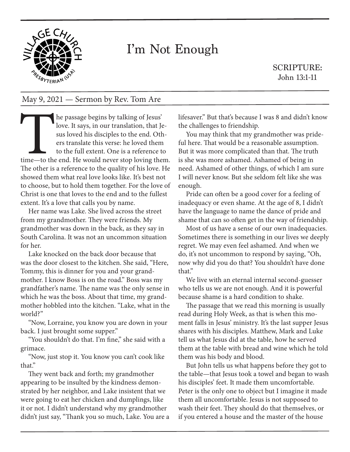

## I'm Not Enough

SCRIPTURE: John 13:1-11

## May 9, 2021 — Sermon by Rev. Tom Are

The passage begins by talking of Jesus'<br>love. It says, in our translation, that Je<br>sus loved his disciples to the end. Oth<br>ers translate this verse: he loved them<br>to the full extent. One is a reference to<br>time—to the end. love. It says, in our translation, that Jesus loved his disciples to the end. Others translate this verse: he loved them to the full extent. One is a reference to time—to the end. He would never stop loving them. The other is a reference to the quality of his love. He showed them what real love looks like. It's best not to choose, but to hold them together. For the love of Christ is one that loves to the end and to the fullest extent. It's a love that calls you by name.

Her name was Lake. She lived across the street from my grandmother. They were friends. My grandmother was down in the back, as they say in South Carolina. It was not an uncommon situation for her.

Lake knocked on the back door because that was the door closest to the kitchen. She said, "Here, Tommy, this is dinner for you and your grandmother. I know Boss is on the road." Boss was my grandfather's name. The name was the only sense in which he was the boss. About that time, my grandmother hobbled into the kitchen. "Lake, what in the world?"

"Now, Lorraine, you know you are down in your back. I just brought some supper."

"You shouldn't do that. I'm fine," she said with a grimace.

"Now, just stop it. You know you can't cook like that."

They went back and forth; my grandmother appearing to be insulted by the kindness demonstrated by her neighbor, and Lake insistent that we were going to eat her chicken and dumplings, like it or not. I didn't understand why my grandmother didn't just say, "Thank you so much, Lake. You are a lifesaver." But that's because I was 8 and didn't know the challenges to friendship.

You may think that my grandmother was prideful here. That would be a reasonable assumption. But it was more complicated than that. The truth is she was more ashamed. Ashamed of being in need. Ashamed of other things, of which I am sure I will never know. But she seldom felt like she was enough.

Pride can often be a good cover for a feeling of inadequacy or even shame. At the age of 8, I didn't have the language to name the dance of pride and shame that can so often get in the way of friendship.

Most of us have a sense of our own inadequacies. Sometimes there is something in our lives we deeply regret. We may even feel ashamed. And when we do, it's not uncommon to respond by saying, "Oh, now why did you do that? You shouldn't have done that."

We live with an eternal internal second-guesser who tells us we are not enough. And it is powerful because shame is a hard condition to shake.

The passage that we read this morning is usually read during Holy Week, as that is when this moment falls in Jesus' ministry. It's the last supper Jesus shares with his disciples. Matthew, Mark and Luke tell us what Jesus did at the table, how he served them at the table with bread and wine which he told them was his body and blood.

But John tells us what happens before they got to the table—that Jesus took a towel and began to wash his disciples' feet. It made them uncomfortable. Peter is the only one to object but I imagine it made them all uncomfortable. Jesus is not supposed to wash their feet. They should do that themselves, or if you entered a house and the master of the house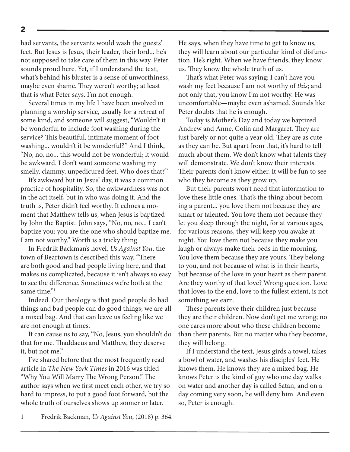had servants, the servants would wash the guests' feet. But Jesus is Jesus, their leader, their lord... he's not supposed to take care of them in this way. Peter sounds proud here. Yet, if I understand the text, what's behind his bluster is a sense of unworthiness, maybe even shame. They weren't worthy; at least that is what Peter says. I'm not enough.

Several times in my life I have been involved in planning a worship service, usually for a retreat of some kind, and someone will suggest, "Wouldn't it be wonderful to include foot washing during the service? This beautiful, intimate moment of foot washing... wouldn't it be wonderful?" And I think, "No, no, no... this would not be wonderful; it would be awkward. I don't want someone washing my smelly, clammy, unpedicured feet. Who does that?"

It's awkward but in Jesus' day, it was a common practice of hospitality. So, the awkwardness was not in the act itself, but in who was doing it. And the truth is, Peter didn't feel worthy. It echoes a moment that Matthew tells us, when Jesus is baptized by John the Baptist. John says, "No, no, no... I can't baptize you; you are the one who should baptize me. I am not worthy." Worth is a tricky thing.

In Fredrik Backman's novel, *Us Against You*, the town of Beartown is described this way. "There are both good and bad people living here, and that makes us complicated, because it isn't always so easy to see the difference. Sometimes we're both at the same time."

Indeed. Our theology is that good people do bad things and bad people can do good things; we are all a mixed bag. And that can leave us feeling like we are not enough at times.

It can cause us to say, "No, Jesus, you shouldn't do that for me. Thaddaeus and Matthew, they deserve it, but not me."

I've shared before that the most frequently read article in *The New York Times* in 2016 was titled "Why You Will Marry The Wrong Person." The author says when we first meet each other, we try so hard to impress, to put a good foot forward, but the whole truth of ourselves shows up sooner or later.

He says, when they have time to get to know us, they will learn about our particular kind of disfunction. He's right. When we have friends, they know us. They know the whole truth of us.

That's what Peter was saying: I can't have you wash my feet because I am not worthy of *this*; and not only that, you know I'm not worthy. He was uncomfortable—maybe even ashamed. Sounds like Peter doubts that he is enough.

Today is Mother's Day and today we baptized Andrew and Anne, Colin and Margaret. They are just barely or not quite a year old. They are as cute as they can be. But apart from that, it's hard to tell much about them. We don't know what talents they will demonstrate. We don't know their interests. Their parents don't know either. It will be fun to see who they become as they grow up.

But their parents won't need that information to love these little ones. That's the thing about becoming a parent... you love them not because they are smart or talented. You love them not because they let you sleep through the night, for at various ages, for various reasons, they will keep you awake at night. You love them not because they make you laugh or always make their beds in the morning. You love them because they are yours. They belong to you, and not because of what is in their hearts, but because of the love in your heart as their parent. Are they worthy of that love? Wrong question. Love that loves to the end, love to the fullest extent, is not something we earn.

These parents love their children just because they are their children. Now don't get me wrong; no one cares more about who these children become than their parents. But no matter who they become, they will belong.

If I understand the text, Jesus girds a towel, takes a bowl of water, and washes his disciples' feet. He knows them. He knows they are a mixed bag. He knows Peter is the kind of guy who one day walks on water and another day is called Satan, and on a day coming very soon, he will deny him. And even so, Peter is enough.

<sup>2</sup>

<sup>1</sup> Fredrik Backman, *Us Against You*, (2018) p. 364.